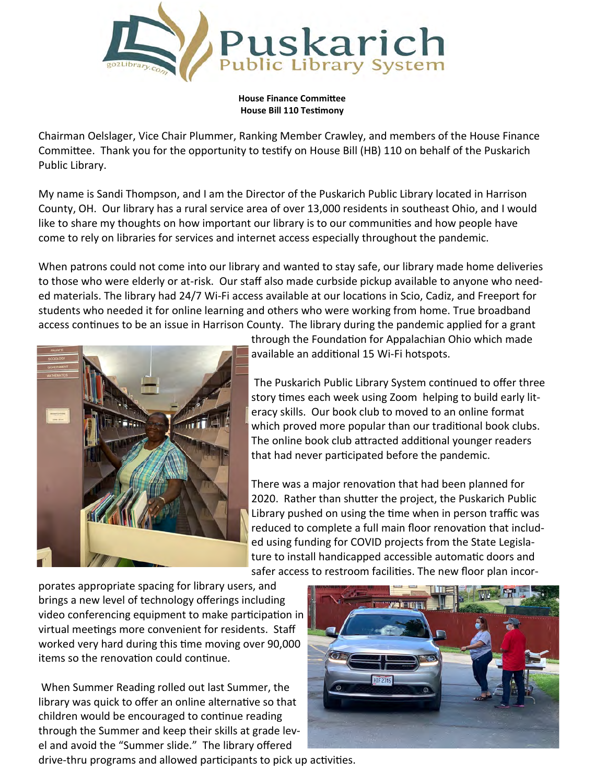

**House Finance Committee House Bill 110 Testimony**

Chairman Oelslager, Vice Chair Plummer, Ranking Member Crawley, and members of the House Finance Committee. Thank you for the opportunity to testify on House Bill (HB) 110 on behalf of the Puskarich Public Library.

My name is Sandi Thompson, and I am the Director of the Puskarich Public Library located in Harrison County, OH. Our library has a rural service area of over 13,000 residents in southeast Ohio, and I would like to share my thoughts on how important our library is to our communities and how people have come to rely on libraries for services and internet access especially throughout the pandemic.

When patrons could not come into our library and wanted to stay safe, our library made home deliveries to those who were elderly or at-risk. Our staff also made curbside pickup available to anyone who needed materials. The library had 24/7 Wi-Fi access available at our locations in Scio, Cadiz, and Freeport for students who needed it for online learning and others who were working from home. True broadband access continues to be an issue in Harrison County. The library during the pandemic applied for a grant



through the Foundation for Appalachian Ohio which made available an additional 15 Wi-Fi hotspots.

The Puskarich Public Library System continued to offer three story times each week using Zoom helping to build early literacy skills. Our book club to moved to an online format which proved more popular than our traditional book clubs. The online book club attracted additional younger readers that had never participated before the pandemic.

There was a major renovation that had been planned for 2020. Rather than shutter the project, the Puskarich Public Library pushed on using the time when in person traffic was reduced to complete a full main floor renovation that included using funding for COVID projects from the State Legislature to install handicapped accessible automatic doors and safer access to restroom facilities. The new floor plan incor-

porates appropriate spacing for library users, and brings a new level of technology offerings including video conferencing equipment to make participation in virtual meetings more convenient for residents. Staff worked very hard during this time moving over 90,000 items so the renovation could continue.

When Summer Reading rolled out last Summer, the library was quick to offer an online alternative so that children would be encouraged to continue reading through the Summer and keep their skills at grade level and avoid the "Summer slide." The library offered drive-thru programs and allowed participants to pick up activities.